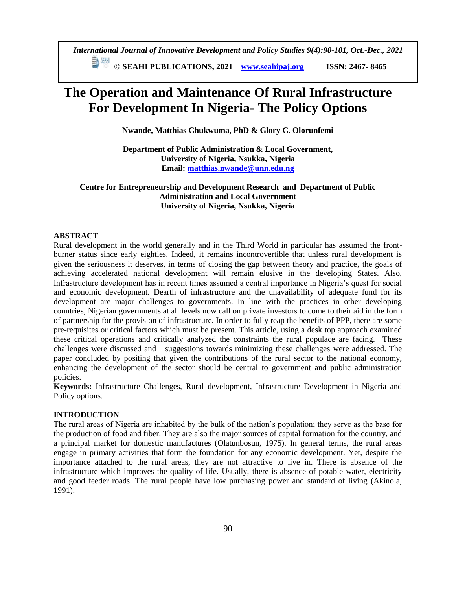*International Journal of Innovative Development and Policy Studies 9(4):90-101, Oct.-Dec., 2021*

**© SEAHI PUBLICATIONS, 2021 [www.seahipaj.org](http://www.seahipaj.org/) ISSN: 2467- 8465**

# **The Operation and Maintenance Of Rural Infrastructure For Development In Nigeria- The Policy Options**

**Nwande, Matthias Chukwuma, PhD & Glory C. Olorunfemi**

**Department of Public Administration & Local Government, University of Nigeria, Nsukka, Nigeria Email: [matthias.nwande@unn.edu.ng](mailto:matthias.nwande@unn.edu.ng)**

# **Centre for Entrepreneurship and Development Research and Department of Public Administration and Local Government University of Nigeria, Nsukka, Nigeria**

## **ABSTRACT**

Rural development in the world generally and in the Third World in particular has assumed the frontburner status since early eighties. Indeed, it remains incontrovertible that unless rural development is given the seriousness it deserves, in terms of closing the gap between theory and practice, the goals of achieving accelerated national development will remain elusive in the developing States. Also, Infrastructure development has in recent times assumed a central importance in Nigeria's quest for social and economic development. Dearth of infrastructure and the unavailability of adequate fund for its development are major challenges to governments. In line with the practices in other developing countries, Nigerian governments at all levels now call on private investors to come to their aid in the form of partnership for the provision of infrastructure. In order to fully reap the benefits of PPP, there are some pre-requisites or critical factors which must be present. This article, using a desk top approach examined these critical operations and critically analyzed the constraints the rural populace are facing. These challenges were discussed and suggestions towards minimizing these challenges were addressed. The paper concluded by positing that-given the contributions of the rural sector to the national economy, enhancing the development of the sector should be central to government and public administration policies.

**Keywords:** Infrastructure Challenges, Rural development, Infrastructure Development in Nigeria and Policy options.

## **INTRODUCTION**

The rural areas of Nigeria are inhabited by the bulk of the nation's population; they serve as the base for the production of food and fiber. They are also the major sources of capital formation for the country, and a principal market for domestic manufactures (Olatunbosun, 1975). In general terms, the rural areas engage in primary activities that form the foundation for any economic development. Yet, despite the importance attached to the rural areas, they are not attractive to live in. There is absence of the infrastructure which improves the quality of life. Usually, there is absence of potable water, electricity and good feeder roads. The rural people have low purchasing power and standard of living (Akinola, 1991).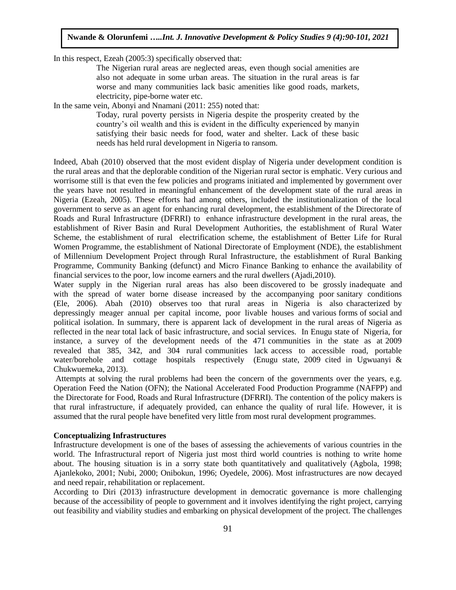In this respect, Ezeah (2005:3) specifically observed that:

The Nigerian rural areas are neglected areas, even though social amenities are also not adequate in some urban areas. The situation in the rural areas is far worse and many communities lack basic amenities like good roads, markets, electricity, pipe-borne water etc.

In the same vein, Abonyi and Nnamani (2011: 255) noted that:

Today, rural poverty persists in Nigeria despite the prosperity created by the country's oil wealth and this is evident in the difficulty experienced by manyin satisfying their basic needs for food, water and shelter. Lack of these basic needs has held rural development in Nigeria to ransom.

Indeed, Abah (2010) observed that the most evident display of Nigeria under development condition is the rural areas and that the deplorable condition of the Nigerian rural sector is emphatic. Very curious and worrisome still is that even the few policies and programs initiated and implemented by government over the years have not resulted in meaningful enhancement of the development state of the rural areas in Nigeria (Ezeah, 2005). These efforts had among others, included the institutionalization of the local government to serve as an agent for enhancing rural development, the establishment of the Directorate of Roads and Rural Infrastructure (DFRRI) to enhance infrastructure development in the rural areas, the establishment of River Basin and Rural Development Authorities, the establishment of Rural Water Scheme, the establishment of rural electrification scheme, the establishment of Better Life for Rural Women Programme, the establishment of National Directorate of Employment (NDE), the establishment of Millennium Development Project through Rural Infrastructure, the establishment of Rural Banking Programme, Community Banking (defunct) and Micro Finance Banking to enhance the availability of financial services to the poor, low income earners and the rural dwellers (Ajadi,2010).

Water supply in the Nigerian rural areas has also been discovered to be grossly inadequate and with the spread of water borne disease increased by the accompanying poor sanitary conditions (Ele, 2006). Abah (2010) observes too that rural areas in Nigeria is also characterized by depressingly meager annual per capital income, poor livable houses and various forms of social and political isolation. In summary, there is apparent lack of development in the rural areas of Nigeria as reflected in the near total lack of basic infrastructure, and social services. In Enugu state of Nigeria, for instance, a survey of the development needs of the 471 communities in the state as at 2009 revealed that 385, 342, and 304 rural communities lack access to accessible road, portable water/borehole and cottage hospitals respectively (Enugu state, 2009 cited in Ugwuanyi & Chukwuemeka, 2013).

Attempts at solving the rural problems had been the concern of the governments over the years, e.g. Operation Feed the Nation (OFN); the National Accelerated Food Production Programme (NAFPP) and the Directorate for Food, Roads and Rural Infrastructure (DFRRI). The contention of the policy makers is that rural infrastructure, if adequately provided, can enhance the quality of rural life. However, it is assumed that the rural people have benefited very little from most rural development programmes.

#### **Conceptualizing Infrastructures**

Infrastructure development is one of the bases of assessing the achievements of various countries in the world. The Infrastructural report of Nigeria just most third world countries is nothing to write home about. The housing situation is in a sorry state both quantitatively and qualitatively (Agbola, 1998; Ajanlekoko, 2001; Nubi, 2000; Onibokun, 1996; Oyedele, 2006). Most infrastructures are now decayed and need repair, rehabilitation or replacement.

According to Diri (2013) infrastructure development in democratic governance is more challenging because of the accessibility of people to government and it involves identifying the right project, carrying out feasibility and viability studies and embarking on physical development of the project. The challenges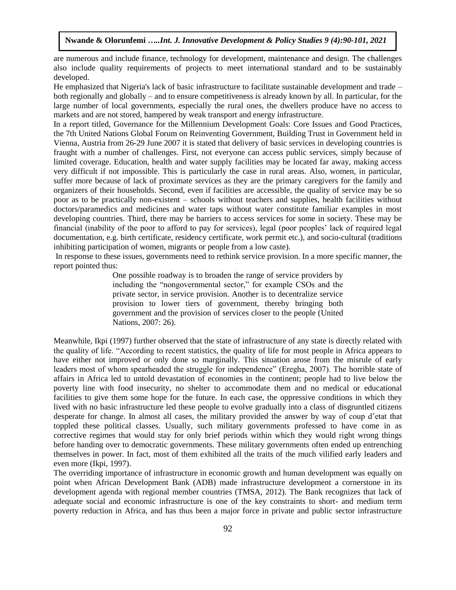are numerous and include finance, technology for development, maintenance and design. The challenges also include quality requirements of projects to meet international standard and to be sustainably developed.

He emphasized that Nigeria's lack of basic infrastructure to facilitate sustainable development and trade – both regionally and globally – and to ensure competitiveness is already known by all. In particular, for the large number of local governments, especially the rural ones, the dwellers produce have no access to markets and are not stored, hampered by weak transport and energy infrastructure.

In a report titled, Governance for the Millennium Development Goals: Core Issues and Good Practices, the 7th United Nations Global Forum on Reinventing Government, Building Trust in Government held in Vienna, Austria from 26-29 June 2007 it is stated that delivery of basic services in developing countries is fraught with a number of challenges. First, not everyone can access public services, simply because of limited coverage. Education, health and water supply facilities may be located far away, making access very difficult if not impossible. This is particularly the case in rural areas. Also, women, in particular, suffer more because of lack of proximate services as they are the primary caregivers for the family and organizers of their households. Second, even if facilities are accessible, the quality of service may be so poor as to be practically non-existent – schools without teachers and supplies, health facilities without doctors/paramedics and medicines and water taps without water constitute familiar examples in most developing countries. Third, there may be barriers to access services for some in society. These may be financial (inability of the poor to afford to pay for services), legal (poor peoples' lack of required legal documentation, e.g. birth certificate, residency certificate, work permit etc.), and socio-cultural (traditions inhibiting participation of women, migrants or people from a low caste).

In response to these issues, governments need to rethink service provision. In a more specific manner, the report pointed thus:

> One possible roadway is to broaden the range of service providers by including the "nongovernmental sector," for example CSOs and the private sector, in service provision. Another is to decentralize service provision to lower tiers of government, thereby bringing both government and the provision of services closer to the people (United Nations, 2007: 26).

Meanwhile, Ikpi (1997) further observed that the state of infrastructure of any state is directly related with the quality of life. "According to recent statistics, the quality of life for most people in Africa appears to have either not improved or only done so marginally. This situation arose from the misrule of early leaders most of whom spearheaded the struggle for independence" (Eregha, 2007). The horrible state of affairs in Africa led to untold devastation of economies in the continent; people had to live below the poverty line with food insecurity, no shelter to accommodate them and no medical or educational facilities to give them some hope for the future. In each case, the oppressive conditions in which they lived with no basic infrastructure led these people to evolve gradually into a class of disgruntled citizens desperate for change. In almost all cases, the military provided the answer by way of coup d'etat that toppled these political classes. Usually, such military governments professed to have come in as corrective regimes that would stay for only brief periods within which they would right wrong things before handing over to democratic governments. These military governments often ended up entrenching themselves in power. In fact, most of them exhibited all the traits of the much vilified early leaders and even more (Ikpi, 1997).

The overriding importance of infrastructure in economic growth and human development was equally on point when African Development Bank (ADB) made infrastructure development a cornerstone in its development agenda with regional member countries (TMSA, 2012). The Bank recognizes that lack of adequate social and economic infrastructure is one of the key constraints to short- and medium term poverty reduction in Africa, and has thus been a major force in private and public sector infrastructure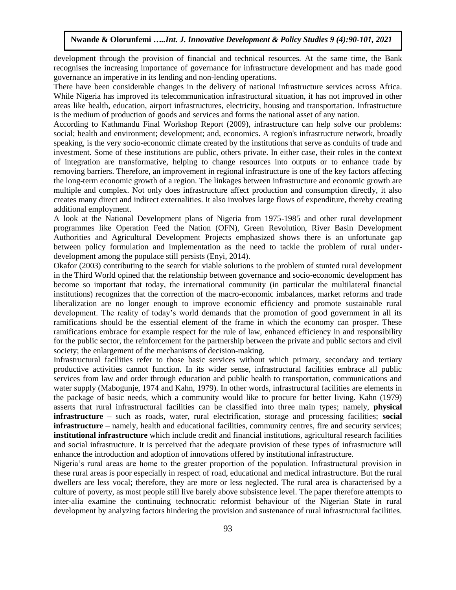development through the provision of financial and technical resources. At the same time, the Bank recognises the increasing importance of governance for infrastructure development and has made good governance an imperative in its lending and non-lending operations.

There have been considerable changes in the delivery of national infrastructure services across Africa. While Nigeria has improved its telecommunication infrastructural situation, it has not improved in other areas like health, education, airport infrastructures, electricity, housing and transportation. Infrastructure is the medium of production of goods and services and forms the national asset of any nation.

According to Kathmandu Final Workshop Report (2009), infrastructure can help solve our problems: social; health and environment; development; and, economics. A region's infrastructure network, broadly speaking, is the very socio-economic climate created by the institutions that serve as conduits of trade and investment. Some of these institutions are public, others private. In either case, their roles in the context of integration are transformative, helping to change resources into outputs or to enhance trade by removing barriers. Therefore, an improvement in regional infrastructure is one of the key factors affecting the long-term economic growth of a region. The linkages between infrastructure and economic growth are multiple and complex. Not only does infrastructure affect production and consumption directly, it also creates many direct and indirect externalities. It also involves large flows of expenditure, thereby creating additional employment.

A look at the National Development plans of Nigeria from 1975-1985 and other rural development programmes like Operation Feed the Nation (OFN), Green Revolution, River Basin Development Authorities and Agricultural Development Projects emphasized shows there is an unfortunate gap between policy formulation and implementation as the need to tackle the problem of rural underdevelopment among the populace still persists (Enyi, 2014).

Okafor (2003) contributing to the search for viable solutions to the problem of stunted rural development in the Third World opined that the relationship between governance and socio-economic development has become so important that today, the international community (in particular the multilateral financial institutions) recognizes that the correction of the macro-economic imbalances, market reforms and trade liberalization are no longer enough to improve economic efficiency and promote sustainable rural development. The reality of today's world demands that the promotion of good government in all its ramifications should be the essential element of the frame in which the economy can prosper. These ramifications embrace for example respect for the rule of law, enhanced efficiency in and responsibility for the public sector, the reinforcement for the partnership between the private and public sectors and civil society; the enlargement of the mechanisms of decision-making.

Infrastructural facilities refer to those basic services without which primary, secondary and tertiary productive activities cannot function. In its wider sense, infrastructural facilities embrace all public services from law and order through education and public health to transportation, communications and water supply (Mabogunje, 1974 and Kahn, 1979). In other words, infrastructural facilities are elements in the package of basic needs, which a community would like to procure for better living. Kahn (1979) asserts that rural infrastructural facilities can be classified into three main types; namely, **physical infrastructure** – such as roads, water, rural electrification, storage and processing facilities; **social infrastructure** – namely, health and educational facilities, community centres, fire and security services; **institutional infrastructure** which include credit and financial institutions, agricultural research facilities and social infrastructure. It is perceived that the adequate provision of these types of infrastructure will enhance the introduction and adoption of innovations offered by institutional infrastructure.

Nigeria's rural areas are home to the greater proportion of the population. Infrastructural provision in these rural areas is poor especially in respect of road, educational and medical infrastructure. But the rural dwellers are less vocal; therefore, they are more or less neglected. The rural area is characterised by a culture of poverty, as most people still live barely above subsistence level. The paper therefore attempts to inter-alia examine the continuing technocratic reformist behaviour of the Nigerian State in rural development by analyzing factors hindering the provision and sustenance of rural infrastructural facilities.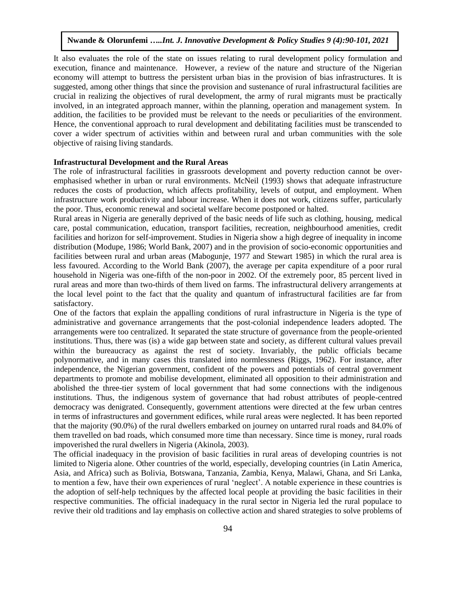It also evaluates the role of the state on issues relating to rural development policy formulation and execution, finance and maintenance. However, a review of the nature and structure of the Nigerian economy will attempt to buttress the persistent urban bias in the provision of bias infrastructures. It is suggested, among other things that since the provision and sustenance of rural infrastructural facilities are crucial in realizing the objectives of rural development, the army of rural migrants must be practically involved, in an integrated approach manner, within the planning, operation and management system. In addition, the facilities to be provided must be relevant to the needs or peculiarities of the environment. Hence, the conventional approach to rural development and debilitating facilities must be transcended to cover a wider spectrum of activities within and between rural and urban communities with the sole objective of raising living standards.

#### **Infrastructural Development and the Rural Areas**

The role of infrastructural facilities in grassroots development and poverty reduction cannot be overemphasised whether in urban or rural environments. McNeil (1993) shows that adequate infrastructure reduces the costs of production, which affects profitability, levels of output, and employment. When infrastructure work productivity and labour increase. When it does not work, citizens suffer, particularly the poor. Thus, economic renewal and societal welfare become postponed or halted.

Rural areas in Nigeria are generally deprived of the basic needs of life such as clothing, housing, medical care, postal communication, education, transport facilities, recreation, neighbourhood amenities, credit facilities and horizon for self-improvement. Studies in Nigeria show a high degree of inequality in income distribution (Modupe, 1986; World Bank, 2007) and in the provision of socio-economic opportunities and facilities between rural and urban areas (Mabogunje, 1977 and Stewart 1985) in which the rural area is less favoured. According to the World Bank (2007), the average per capita expenditure of a poor rural household in Nigeria was one-fifth of the non-poor in 2002. Of the extremely poor, 85 percent lived in rural areas and more than two-thirds of them lived on farms. The infrastructural delivery arrangements at the local level point to the fact that the quality and quantum of infrastructural facilities are far from satisfactory.

One of the factors that explain the appalling conditions of rural infrastructure in Nigeria is the type of administrative and governance arrangements that the post-colonial independence leaders adopted. The arrangements were too centralized. It separated the state structure of governance from the people-oriented institutions. Thus, there was (is) a wide gap between state and society, as different cultural values prevail within the bureaucracy as against the rest of society. Invariably, the public officials became polynormative, and in many cases this translated into normlessness (Riggs, 1962). For instance, after independence, the Nigerian government, confident of the powers and potentials of central government departments to promote and mobilise development, eliminated all opposition to their administration and abolished the three-tier system of local government that had some connections with the indigenous institutions. Thus, the indigenous system of governance that had robust attributes of people-centred democracy was denigrated. Consequently, government attentions were directed at the few urban centres in terms of infrastructures and government edifices, while rural areas were neglected. It has been reported that the majority (90.0%) of the rural dwellers embarked on journey on untarred rural roads and 84.0% of them travelled on bad roads, which consumed more time than necessary. Since time is money, rural roads impoverished the rural dwellers in Nigeria (Akinola, 2003).

The official inadequacy in the provision of basic facilities in rural areas of developing countries is not limited to Nigeria alone. Other countries of the world, especially, developing countries (in Latin America, Asia, and Africa) such as Bolivia, Botswana, Tanzania, Zambia, Kenya, Malawi, Ghana, and Sri Lanka, to mention a few, have their own experiences of rural 'neglect'. A notable experience in these countries is the adoption of self-help techniques by the affected local people at providing the basic facilities in their respective communities. The official inadequacy in the rural sector in Nigeria led the rural populace to revive their old traditions and lay emphasis on collective action and shared strategies to solve problems of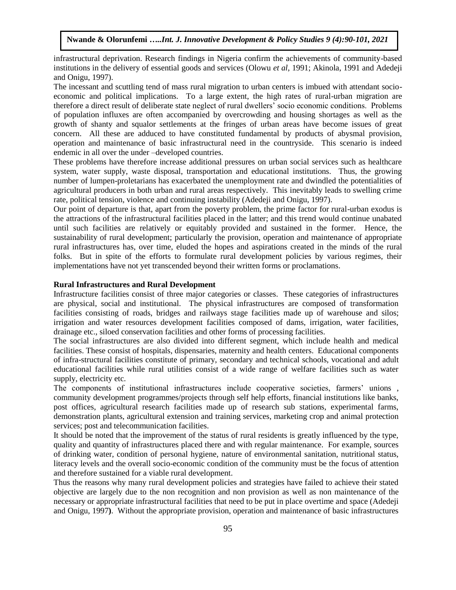infrastructural deprivation. Research findings in Nigeria confirm the achievements of community-based institutions in the delivery of essential goods and services (Olowu *et al*, 1991; Akinola, 1991 and Adedeji and Onigu, 1997).

The incessant and scuttling tend of mass rural migration to urban centers is imbued with attendant socioeconomic and political implications. To a large extent, the high rates of rural-urban migration are therefore a direct result of deliberate state neglect of rural dwellers' socio economic conditions. Problems of population influxes are often accompanied by overcrowding and housing shortages as well as the growth of shanty and squalor settlements at the fringes of urban areas have become issues of great concern. All these are adduced to have constituted fundamental by products of abysmal provision, operation and maintenance of basic infrastructural need in the countryside. This scenario is indeed endemic in all over the under –developed countries.

These problems have therefore increase additional pressures on urban social services such as healthcare system, water supply, waste disposal, transportation and educational institutions. Thus, the growing number of lumpen-proletarians has exacerbated the unemployment rate and dwindled the potentialities of agricultural producers in both urban and rural areas respectively. This inevitably leads to swelling crime rate, political tension, violence and continuing instability (Adedeji and Onigu, 1997).

Our point of departure is that, apart from the poverty problem, the prime factor for rural-urban exodus is the attractions of the infrastructural facilities placed in the latter; and this trend would continue unabated until such facilities are relatively or equitably provided and sustained in the former. Hence, the sustainability of rural development; particularly the provision, operation and maintenance of appropriate rural infrastructures has, over time, eluded the hopes and aspirations created in the minds of the rural folks. But in spite of the efforts to formulate rural development policies by various regimes, their implementations have not yet transcended beyond their written forms or proclamations.

#### **Rural Infrastructures and Rural Development**

Infrastructure facilities consist of three major categories or classes. These categories of infrastructures are physical, social and institutional. The physical infrastructures are composed of transformation facilities consisting of roads, bridges and railways stage facilities made up of warehouse and silos; irrigation and water resources development facilities composed of dams, irrigation, water facilities, drainage etc., siloed conservation facilities and other forms of processing facilities.

The social infrastructures are also divided into different segment, which include health and medical facilities. These consist of hospitals, dispensaries, maternity and health centers. Educational components of infra-structural facilities constitute of primary, secondary and technical schools, vocational and adult educational facilities while rural utilities consist of a wide range of welfare facilities such as water supply, electricity etc.

The components of institutional infrastructures include cooperative societies, farmers' unions , community development programmes/projects through self help efforts, financial institutions like banks, post offices, agricultural research facilities made up of research sub stations, experimental farms, demonstration plants, agricultural extension and training services, marketing crop and animal protection services; post and telecommunication facilities.

It should be noted that the improvement of the status of rural residents is greatly influenced by the type, quality and quantity of infrastructures placed there and with regular maintenance. For example, sources of drinking water, condition of personal hygiene, nature of environmental sanitation, nutritional status, literacy levels and the overall socio-economic condition of the community must be the focus of attention and therefore sustained for a viable rural development.

Thus the reasons why many rural development policies and strategies have failed to achieve their stated objective are largely due to the non recognition and non provision as well as non maintenance of the necessary or appropriate infrastructural facilities that need to be put in place overtime and space (Adedeji and Onigu, 1997**)**. Without the appropriate provision, operation and maintenance of basic infrastructures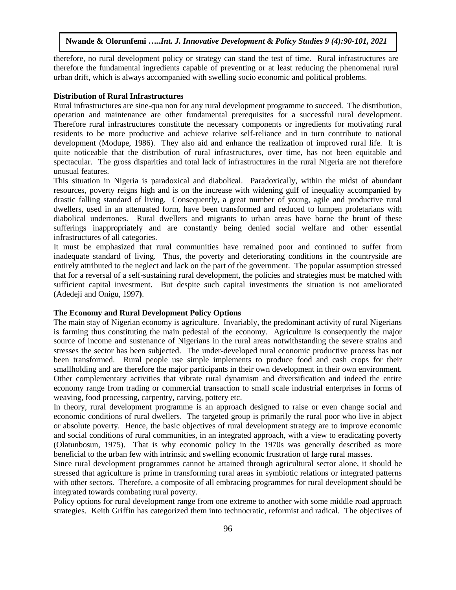therefore, no rural development policy or strategy can stand the test of time. Rural infrastructures are therefore the fundamental ingredients capable of preventing or at least reducing the phenomenal rural urban drift, which is always accompanied with swelling socio economic and political problems.

### **Distribution of Rural Infrastructures**

Rural infrastructures are sine-qua non for any rural development programme to succeed. The distribution, operation and maintenance are other fundamental prerequisites for a successful rural development. Therefore rural infrastructures constitute the necessary components or ingredients for motivating rural residents to be more productive and achieve relative self-reliance and in turn contribute to national development (Modupe, 1986). They also aid and enhance the realization of improved rural life. It is quite noticeable that the distribution of rural infrastructures, over time, has not been equitable and spectacular. The gross disparities and total lack of infrastructures in the rural Nigeria are not therefore unusual features.

This situation in Nigeria is paradoxical and diabolical. Paradoxically, within the midst of abundant resources, poverty reigns high and is on the increase with widening gulf of inequality accompanied by drastic falling standard of living. Consequently, a great number of young, agile and productive rural dwellers, used in an attenuated form, have been transformed and reduced to lumpen proletarians with diabolical undertones. Rural dwellers and migrants to urban areas have borne the brunt of these sufferings inappropriately and are constantly being denied social welfare and other essential infrastructures of all categories.

It must be emphasized that rural communities have remained poor and continued to suffer from inadequate standard of living. Thus, the poverty and deteriorating conditions in the countryside are entirely attributed to the neglect and lack on the part of the government. The popular assumption stressed that for a reversal of a self-sustaining rural development, the policies and strategies must be matched with sufficient capital investment. But despite such capital investments the situation is not ameliorated (Adedeji and Onigu, 1997**)**.

#### **The Economy and Rural Development Policy Options**

The main stay of Nigerian economy is agriculture. Invariably, the predominant activity of rural Nigerians is farming thus constituting the main pedestal of the economy. Agriculture is consequently the major source of income and sustenance of Nigerians in the rural areas notwithstanding the severe strains and stresses the sector has been subjected. The under-developed rural economic productive process has not been transformed. Rural people use simple implements to produce food and cash crops for their smallholding and are therefore the major participants in their own development in their own environment. Other complementary activities that vibrate rural dynamism and diversification and indeed the entire economy range from trading or commercial transaction to small scale industrial enterprises in forms of weaving, food processing, carpentry, carving, pottery etc.

In theory, rural development programme is an approach designed to raise or even change social and economic conditions of rural dwellers. The targeted group is primarily the rural poor who live in abject or absolute poverty. Hence, the basic objectives of rural development strategy are to improve economic and social conditions of rural communities, in an integrated approach, with a view to eradicating poverty (Olatunbosun, 1975). That is why economic policy in the 1970s was generally described as more beneficial to the urban few with intrinsic and swelling economic frustration of large rural masses.

Since rural development programmes cannot be attained through agricultural sector alone, it should be stressed that agriculture is prime in transforming rural areas in symbiotic relations or integrated patterns with other sectors. Therefore, a composite of all embracing programmes for rural development should be integrated towards combating rural poverty.

Policy options for rural development range from one extreme to another with some middle road approach strategies. Keith Griffin has categorized them into technocratic, reformist and radical. The objectives of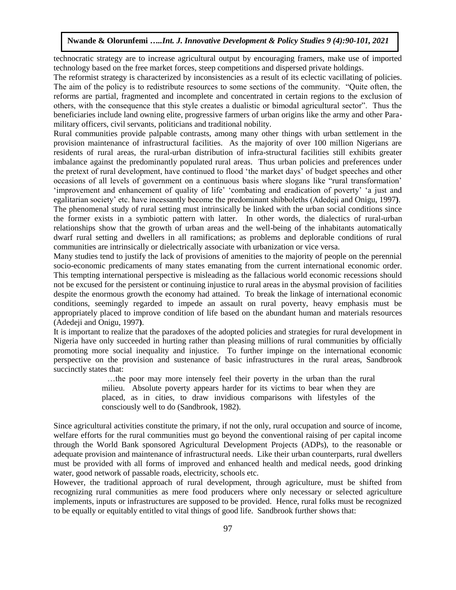technocratic strategy are to increase agricultural output by encouraging framers, make use of imported technology based on the free market forces, steep competitions and dispersed private holdings.

The reformist strategy is characterized by inconsistencies as a result of its eclectic vacillating of policies. The aim of the policy is to redistribute resources to some sections of the community. "Quite often, the reforms are partial, fragmented and incomplete and concentrated in certain regions to the exclusion of others, with the consequence that this style creates a dualistic or bimodal agricultural sector". Thus the beneficiaries include land owning elite, progressive farmers of urban origins like the army and other Paramilitary officers, civil servants, politicians and traditional nobility.

Rural communities provide palpable contrasts, among many other things with urban settlement in the provision maintenance of infrastructural facilities. As the majority of over 100 million Nigerians are residents of rural areas, the rural-urban distribution of infra-structural facilities still exhibits greater imbalance against the predominantly populated rural areas. Thus urban policies and preferences under the pretext of rural development, have continued to flood 'the market days' of budget speeches and other occasions of all levels of government on a continuous basis where slogans like "rural transformation' 'improvement and enhancement of quality of life' 'combating and eradication of poverty' 'a just and egalitarian society' etc. have incessantly become the predominant shibboleths (Adedeji and Onigu, 1997**)**. The phenomenal study of rural setting must intrinsically be linked with the urban social conditions since the former exists in a symbiotic pattern with latter. In other words, the dialectics of rural-urban relationships show that the growth of urban areas and the well-being of the inhabitants automatically dwarf rural setting and dwellers in all ramifications; as problems and deplorable conditions of rural communities are intrinsically or dielectrically associate with urbanization or vice versa.

Many studies tend to justify the lack of provisions of amenities to the majority of people on the perennial socio-economic predicaments of many states emanating from the current international economic order. This tempting international perspective is misleading as the fallacious world economic recessions should not be excused for the persistent or continuing injustice to rural areas in the abysmal provision of facilities despite the enormous growth the economy had attained. To break the linkage of international economic conditions, seemingly regarded to impede an assault on rural poverty, heavy emphasis must be appropriately placed to improve condition of life based on the abundant human and materials resources (Adedeji and Onigu, 1997**)**.

It is important to realize that the paradoxes of the adopted policies and strategies for rural development in Nigeria have only succeeded in hurting rather than pleasing millions of rural communities by officially promoting more social inequality and injustice. To further impinge on the international economic perspective on the provision and sustenance of basic infrastructures in the rural areas, Sandbrook succinctly states that:

> …the poor may more intensely feel their poverty in the urban than the rural milieu. Absolute poverty appears harder for its victims to bear when they are placed, as in cities, to draw invidious comparisons with lifestyles of the consciously well to do (Sandbrook, 1982).

Since agricultural activities constitute the primary, if not the only, rural occupation and source of income, welfare efforts for the rural communities must go beyond the conventional raising of per capital income through the World Bank sponsored Agricultural Development Projects (ADPs), to the reasonable or adequate provision and maintenance of infrastructural needs. Like their urban counterparts, rural dwellers must be provided with all forms of improved and enhanced health and medical needs, good drinking water, good network of passable roads, electricity, schools etc.

However, the traditional approach of rural development, through agriculture, must be shifted from recognizing rural communities as mere food producers where only necessary or selected agriculture implements, inputs or infrastructures are supposed to be provided. Hence, rural folks must be recognized to be equally or equitably entitled to vital things of good life. Sandbrook further shows that: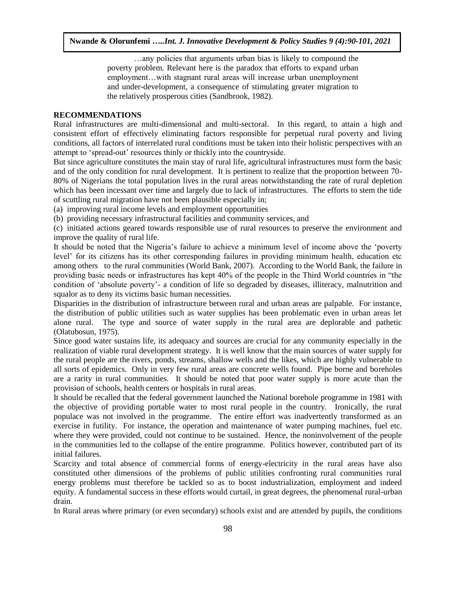…any policies that arguments urban bias is likely to compound the poverty problem. Relevant here is the paradox that efforts to expand urban employment…with stagnant rural areas will increase urban unemployment and under-development, a consequence of stimulating greater migration to the relatively prosperous cities (Sandbrook, 1982).

# **RECOMMENDATIONS**

Rural infrastructures are multi-dimensional and multi-sectoral. In this regard, to attain a high and consistent effort of effectively eliminating factors responsible for perpetual rural poverty and living conditions, all factors of interrelated rural conditions must be taken into their holistic perspectives with an attempt to 'spread-out' resources thinly or thickly into the countryside.

But since agriculture constitutes the main stay of rural life, agricultural infrastructures must form the basic and of the only condition for rural development. It is pertinent to realize that the proportion between 70- 80% of Nigerians the total population lives in the rural areas notwithstanding the rate of rural depletion which has been incessant over time and largely due to lack of infrastructures. The efforts to stem the tide of scuttling rural migration have not been plausible especially in;

(a) improving rural income levels and employment opportunities

(b) providing necessary infrastructural facilities and community services, and

(c) initiated actions geared towards responsible use of rural resources to preserve the environment and improve the quality of rural life.

It should be noted that the Nigeria's failure to achieve a minimum level of income above the 'poverty level' for its citizens has its other corresponding failures in providing minimum health, education etc among others to the rural communities (World Bank, 2007). According to the World Bank, the failure in providing basic needs or infrastructures has kept 40% of the people in the Third World countries in "the condition of 'absolute poverty'- a condition of life so degraded by diseases, illiteracy, malnutrition and squalor as to deny its victims basic human necessities.

Disparities in the distribution of infrastructure between rural and urban areas are palpable. For instance, the distribution of public utilities such as water supplies has been problematic even in urban areas let alone rural. The type and source of water supply in the rural area are deplorable and pathetic (Olatubosun, 1975).

Since good water sustains life, its adequacy and sources are crucial for any community especially in the realization of viable rural development strategy. It is well know that the main sources of water supply for the rural people are the rivers, ponds, streams, shallow wells and the likes, which are highly vulnerable to all sorts of epidemics. Only in very few rural areas are concrete wells found. Pipe borne and boreholes are a rarity in rural communities. It should be noted that poor water supply is more acute than the provision of schools, health centers or hospitals in rural areas.

It should be recalled that the federal government launched the National borehole programme in 1981 with the objective of providing portable water to most rural people in the country. Ironically, the rural populace was not involved in the programme. The entire effort was inadvertently transformed as an exercise in futility. For instance, the operation and maintenance of water pumping machines, fuel etc. where they were provided, could not continue to be sustained. Hence, the noninvolvement of the people in the communities led to the collapse of the entire programme. Politics however, contributed part of its initial failures.

Scarcity and total absence of commercial forms of energy-electricity in the rural areas have also constituted other dimensions of the problems of public utilities confronting rural communities rural energy problems must therefore be tackled so as to boost industrialization, employment and indeed equity. A fundamental success in these efforts would curtail, in great degrees, the phenomenal rural-urban drain.

In Rural areas where primary (or even secondary) schools exist and are attended by pupils, the conditions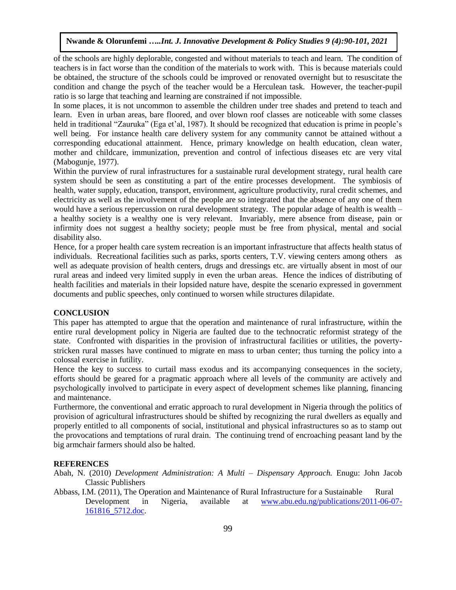of the schools are highly deplorable, congested and without materials to teach and learn. The condition of teachers is in fact worse than the condition of the materials to work with. This is because materials could be obtained, the structure of the schools could be improved or renovated overnight but to resuscitate the condition and change the psych of the teacher would be a Herculean task. However, the teacher-pupil ratio is so large that teaching and learning are constrained if not impossible.

In some places, it is not uncommon to assemble the children under tree shades and pretend to teach and learn. Even in urban areas, bare floored, and over blown roof classes are noticeable with some classes held in traditional "Zauruka" (Ega et'al, 1987). It should be recognized that education is prime in people's well being. For instance health care delivery system for any community cannot be attained without a corresponding educational attainment. Hence, primary knowledge on health education, clean water, mother and childcare, immunization, prevention and control of infectious diseases etc are very vital (Mabogunje, 1977).

Within the purview of rural infrastructures for a sustainable rural development strategy, rural health care system should be seen as constituting a part of the entire processes development. The symbiosis of health, water supply, education, transport, environment, agriculture productivity, rural credit schemes, and electricity as well as the involvement of the people are so integrated that the absence of any one of them would have a serious repercussion on rural development strategy. The popular adage of health is wealth – a healthy society is a wealthy one is very relevant. Invariably, mere absence from disease, pain or infirmity does not suggest a healthy society; people must be free from physical, mental and social disability also.

Hence, for a proper health care system recreation is an important infrastructure that affects health status of individuals. Recreational facilities such as parks, sports centers, T.V. viewing centers among others as well as adequate provision of health centers, drugs and dressings etc. are virtually absent in most of our rural areas and indeed very limited supply in even the urban areas. Hence the indices of distributing of health facilities and materials in their lopsided nature have, despite the scenario expressed in government documents and public speeches, only continued to worsen while structures dilapidate.

# **CONCLUSION**

This paper has attempted to argue that the operation and maintenance of rural infrastructure, within the entire rural development policy in Nigeria are faulted due to the technocratic reformist strategy of the state. Confronted with disparities in the provision of infrastructural facilities or utilities, the povertystricken rural masses have continued to migrate en mass to urban center; thus turning the policy into a colossal exercise in futility.

Hence the key to success to curtail mass exodus and its accompanying consequences in the society, efforts should be geared for a pragmatic approach where all levels of the community are actively and psychologically involved to participate in every aspect of development schemes like planning, financing and maintenance.

Furthermore, the conventional and erratic approach to rural development in Nigeria through the politics of provision of agricultural infrastructures should be shifted by recognizing the rural dwellers as equally and properly entitled to all components of social, institutional and physical infrastructures so as to stamp out the provocations and temptations of rural drain. The continuing trend of encroaching peasant land by the big armchair farmers should also be halted.

#### **REFERENCES**

Abah, N. (2010) *Development Administration: A Multi – Dispensary Approach.* Enugu: John Jacob Classic Publishers

Abbass, I.M. (2011), The Operation and Maintenance of Rural Infrastructure for a Sustainable Rural Development in Nigeria, available at [www.abu.edu.ng/publications/2011-06-07-](http://www.abu.edu.ng/publications/2011-06-07-161816_5712.doc) [161816\\_5712.doc.](http://www.abu.edu.ng/publications/2011-06-07-161816_5712.doc)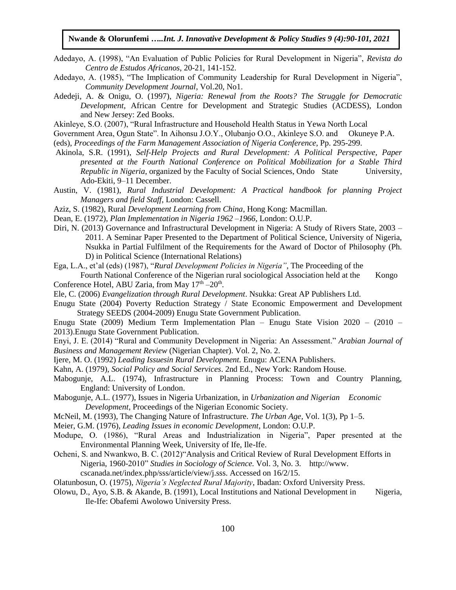- Adedayo, A. (1998), "An Evaluation of Public Policies for Rural Development in Nigeria", *Revista do Centro de Estudos Africanos*, 20-21, 141-152.
- Adedayo, A. (1985), "The Implication of Community Leadership for Rural Development in Nigeria", *Community Development Journal*, Vol.20, No1.
- Adedeji, A. & Onigu, O. (1997), *Nigeria: Renewal from the Roots? The Struggle for Democratic Development*, African Centre for Development and Strategic Studies (ACDESS), London and New Jersey: Zed Books.
- [Akinleye, S.O. \(2007\), "Rural Infrastructure and Household Health Status in Yewa North Local](http://www.unilag.edu.ng/opendoc.php?sno=13823&doctype=doc&docname=$)
- [Government Area, Ogun State". In Aihonsu J.O.Y., Olubanjo O.O., Akinleye S.O. and Okuneye P.A.](http://www.unilag.edu.ng/opendoc.php?sno=13823&doctype=doc&docname=$)
- (eds), *Proceedings of the Farm Management Association of Nigeria Conference*[, Pp. 295-299.](http://www.unilag.edu.ng/opendoc.php?sno=13823&doctype=doc&docname=$)
- Akinola, S.R. (1991), *Self-Help Projects and Rural Development: A Political Perspective, Paper presented at the Fourth National Conference on Political Mobilization for a Stable Third Republic in Nigeria*, organized by the Faculty of Social Sciences, Ondo State University, Ado-Ekiti, 9–11 December.
- Austin, V. (1981), *Rural Industrial Development: A Practical handbook for planning Project Managers and field Staff*, London: Cassell.
- Aziz, S. (1982), Rural *Development Learning from China*, Hong Kong: Macmillan.
- Dean, E. (1972), *Plan Implementation in Nigeria 1962 –1966*, London: O.U.P.
- Diri, N. (2013) Governance and Infrastructural Development in Nigeria: A Study of Rivers State, 2003 2011. A Seminar Paper Presented to the Department of Political Science, University of Nigeria, Nsukka in Partial Fulfilment of the Requirements for the Award of Doctor of Philosophy (Ph. D) in Political Science (International Relations)
- Ega, L.A., et'al (eds) (1987), "*Rural Development Policies in Nigeria"*, The Proceeding of the Fourth National Conference of the Nigerian rural sociological Association held at the Kongo
- Conference Hotel, ABU Zaria, from May 17<sup>th</sup> -20<sup>th</sup>.
- Ele, C. (2006) *Evangelization through Rural Development*. Nsukka: Great AP Publishers Ltd.
- Enugu State (2004) Poverty Reduction Strategy / State Economic Empowerment and Development Strategy SEEDS (2004-2009) Enugu State Government Publication.
- Enugu State (2009) Medium Term Implementation Plan Enugu State Vision 2020 (2010 2013).Enugu State Government Publication.
- Enyi, J. E. (2014) "Rural and Community Development in Nigeria: An Assessment." *Arabian Journal of Business and Management Review* (Nigerian Chapter). Vol. 2, No. 2.
- Ijere, M. O. (1992) *Leading Issuesin Rural Development.* Enugu: ACENA Publishers.
- Kahn, A. (1979), *Social Policy and Social Services*. 2nd Ed., New York: Random House.
- Mabogunje, A.L. (1974), Infrastructure in Planning Process: Town and Country Planning, England: University of London.
- Mabogunje, A.L. (1977), Issues in Nigeria Urbanization, in *Urbanization and Nigerian Economic Development*, Proceedings of the Nigerian Economic Society.
- McNeil, M. (1993), The Changing Nature of Infrastructure. *The Urban Age,* Vol. 1(3), Pp 1–5.
- Meier, G.M. (1976), *Leading Issues in economic Development*, London: O.U.P.
- Modupe, O. (1986), "Rural Areas and Industrialization in Nigeria", Paper presented at the Environmental Planning Week, University of Ife, Ile-Ife.
- Ocheni, S. and Nwankwo, B. C. (2012)"Analysis and Critical Review of Rural Development Efforts in Nigeria, 1960-2010" *Studies in Sociology of Science.* Vol. 3, No. 3. http://www. cscanada.net/index.php/sss/article/view/j.sss. Accessed on 16/2/15.
- Olatunbosun, O. (1975), *Nigeria's Neglected Rural Majority*, Ibadan: Oxford University Press.
- Olowu, D., Ayo, S.B. & Akande, B. (1991), Local Institutions and National Development in Nigeria, Ile-Ife: Obafemi Awolowo University Press.